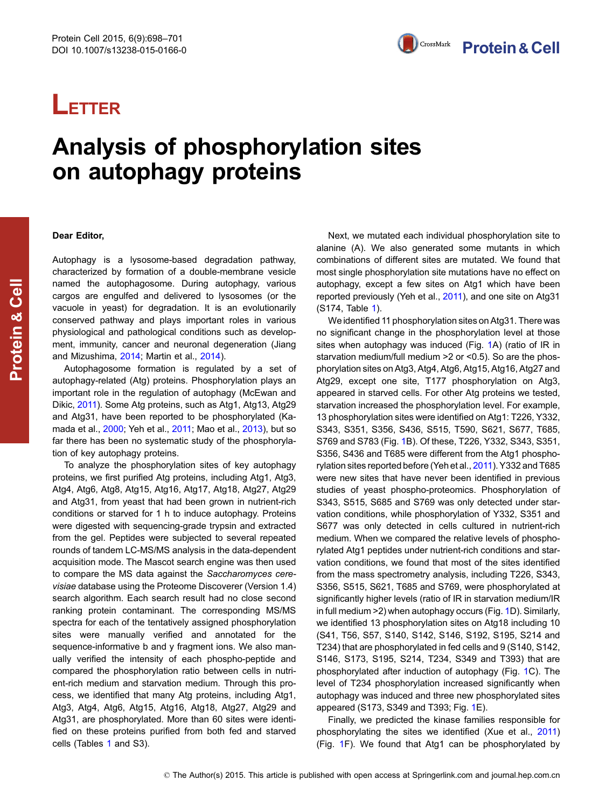# **LETTER**

## Analysis of phosphorylation sites on autophagy proteins

## Dear Editor,

Autophagy is a lysosome-based degradation pathway, characterized by formation of a double-membrane vesicle named the autophagosome. During autophagy, various cargos are engulfed and delivered to lysosomes (or the vacuole in yeast) for degradation. It is an evolutionarily conserved pathway and plays important roles in various physiological and pathological conditions such as development, immunity, cancer and neuronal degeneration (Jiang and Mizushima, [2014;](#page-3-0) Martin et al., [2014](#page-3-0)).

Autophagosome formation is regulated by a set of autophagy-related (Atg) proteins. Phosphorylation plays an important role in the regulation of autophagy (McEwan and Dikic, [2011](#page-3-0)). Some Atg proteins, such as Atg1, Atg13, Atg29 and Atg31, have been reported to be phosphorylated (Kamada et al., [2000](#page-3-0); Yeh et al., [2011](#page-3-0); Mao et al., [2013](#page-3-0)), but so far there has been no systematic study of the phosphorylation of key autophagy proteins.

To analyze the phosphorylation sites of key autophagy proteins, we first purified Atg proteins, including Atg1, Atg3, Atg4, Atg6, Atg8, Atg15, Atg16, Atg17, Atg18, Atg27, Atg29 and Atg31, from yeast that had been grown in nutrient-rich conditions or starved for 1 h to induce autophagy. Proteins were digested with sequencing-grade trypsin and extracted from the gel. Peptides were subjected to several repeated rounds of tandem LC-MS/MS analysis in the data-dependent acquisition mode. The Mascot search engine was then used to compare the MS data against the Saccharomyces cerevisiae database using the Proteome Discoverer (Version 1.4) search algorithm. Each search result had no close second ranking protein contaminant. The corresponding MS/MS spectra for each of the tentatively assigned phosphorylation sites were manually verified and annotated for the sequence-informative b and y fragment ions. We also manually verified the intensity of each phospho-peptide and compared the phosphorylation ratio between cells in nutrient-rich medium and starvation medium. Through this process, we identified that many Atg proteins, including Atg1, Atg3, Atg4, Atg6, Atg15, Atg16, Atg18, Atg27, Atg29 and Atg31, are phosphorylated. More than 60 sites were identified on these proteins purified from both fed and starved cells (Tables [1](#page-1-0) and S3).

Next, we mutated each individual phosphorylation site to alanine (A). We also generated some mutants in which combinations of different sites are mutated. We found that most single phosphorylation site mutations have no effect on autophagy, except a few sites on Atg1 which have been reported previously (Yeh et al., [2011\)](#page-3-0), and one site on Atg31 (S174, Table [1\)](#page-1-0).

We identified 11 phosphorylation sites on Atg31. There was no significant change in the phosphorylation level at those sites when autophagy was induced (Fig. [1A](#page-1-0)) (ratio of IR in starvation medium/full medium >2 or <0.5). So are the phosphorylation sites on Atg3, Atg4, Atg6, Atg15, Atg16, Atg27 and Atg29, except one site, T177 phosphorylation on Atg3, appeared in starved cells. For other Atg proteins we tested, starvation increased the phosphorylation level. For example, 13 phosphorylation sites were identified on Atg1: T226, Y332, S343, S351, S356, S436, S515, T590, S621, S677, T685, S769 and S783 (Fig. [1B](#page-1-0)). Of these, T226, Y332, S343, S351, S356, S436 and T685 were different from the Atg1 phosphorylation sites reported before (Yeh et al., [2011\)](#page-3-0). Y332 and T685 were new sites that have never been identified in previous studies of yeast phospho-proteomics. Phosphorylation of S343, S515, S685 and S769 was only detected under starvation conditions, while phosphorylation of Y332, S351 and S677 was only detected in cells cultured in nutrient-rich medium. When we compared the relative levels of phosphorylated Atg1 peptides under nutrient-rich conditions and starvation conditions, we found that most of the sites identified from the mass spectrometry analysis, including T226, S343, S356, S515, S621, T685 and S769, were phosphorylated at significantly higher levels (ratio of IR in starvation medium/IR in full medium >2) when autophagy occurs (Fig. [1](#page-1-0)D). Similarly, we identified 13 phosphorylation sites on Atg18 including 10 (S41, T56, S57, S140, S142, S146, S192, S195, S214 and T234) that are phosphorylated in fed cells and 9 (S140, S142, S146, S173, S195, S214, T234, S349 and T393) that are phosphorylated after induction of autophagy (Fig. [1C](#page-1-0)). The level of T234 phosphorylation increased significantly when autophagy was induced and three new phosphorylated sites appeared (S173, S349 and T393; Fig. [1E](#page-1-0)).

Finally, we predicted the kinase families responsible for phosphorylating the sites we identified (Xue et al., [2011](#page-3-0)) (Fig. [1F](#page-1-0)). We found that Atg1 can be phosphorylated by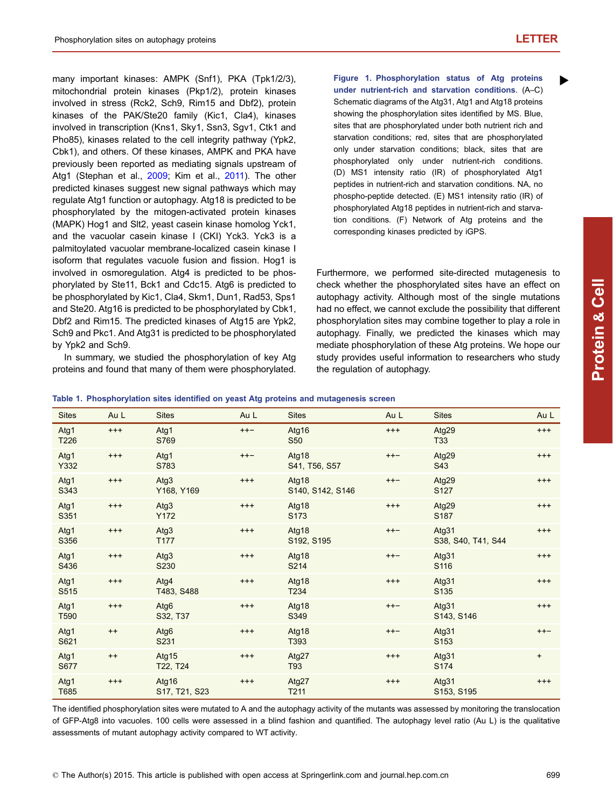$\blacktriangleright$ 

<span id="page-1-0"></span>many important kinases: AMPK (Snf1), PKA (Tpk1/2/3), mitochondrial protein kinases (Pkp1/2), protein kinases involved in stress (Rck2, Sch9, Rim15 and Dbf2), protein kinases of the PAK/Ste20 family (Kic1, Cla4), kinases involved in transcription (Kns1, Sky1, Ssn3, Sgv1, Ctk1 and Pho85), kinases related to the cell integrity pathway (Ypk2, Cbk1), and others. Of these kinases, AMPK and PKA have previously been reported as mediating signals upstream of Atg1 (Stephan et al., [2009;](#page-3-0) Kim et al., [2011\)](#page-3-0). The other predicted kinases suggest new signal pathways which may regulate Atg1 function or autophagy. Atg18 is predicted to be phosphorylated by the mitogen-activated protein kinases (MAPK) Hog1 and Slt2, yeast casein kinase homolog Yck1, and the vacuolar casein kinase I (CKI) Yck3. Yck3 is a palmitoylated vacuolar membrane-localized casein kinase I isoform that regulates vacuole fusion and fission. Hog1 is involved in osmoregulation. Atg4 is predicted to be phosphorylated by Ste11, Bck1 and Cdc15. Atg6 is predicted to be phosphorylated by Kic1, Cla4, Skm1, Dun1, Rad53, Sps1 and Ste20. Atg16 is predicted to be phosphorylated by Cbk1, Dbf2 and Rim15. The predicted kinases of Atg15 are Ypk2, Sch9 and Pkc1. And Atg31 is predicted to be phosphorylated by Ypk2 and Sch9.

In summary, we studied the phosphorylation of key Atg proteins and found that many of them were phosphorylated.

Figure 1. Phosphorylation status of Atg proteins under nutrient-rich and starvation conditions. (A–C) Schematic diagrams of the Atg31, Atg1 and Atg18 proteins showing the phosphorylation sites identified by MS. Blue, sites that are phosphorylated under both nutrient rich and starvation conditions; red, sites that are phosphorylated only under starvation conditions; black, sites that are phosphorylated only under nutrient-rich conditions. (D) MS1 intensity ratio (IR) of phosphorylated Atg1 peptides in nutrient-rich and starvation conditions. NA, no phospho-peptide detected. (E) MS1 intensity ratio (IR) of phosphorylated Atg18 peptides in nutrient-rich and starvation conditions. (F) Network of Atg proteins and the corresponding kinases predicted by iGPS.

Furthermore, we performed site-directed mutagenesis to check whether the phosphorylated sites have an effect on autophagy activity. Although most of the single mutations had no effect, we cannot exclude the possibility that different phosphorylation sites may combine together to play a role in autophagy. Finally, we predicted the kinases which may mediate phosphorylation of these Atg proteins. We hope our study provides useful information to researchers who study the regulation of autophagy.

Table 1. Phosphorylation sites identified on yeast Atg proteins and mutagenesis screen

| <b>Sites</b>             | Au L     | <b>Sites</b>           | Au L     | <b>Sites</b>              | Au L     | <b>Sites</b>                | Au L      |
|--------------------------|----------|------------------------|----------|---------------------------|----------|-----------------------------|-----------|
| Atg1<br>T226             | $***$    | Atg1<br>S769           | $++-$    | Atg16<br><b>S50</b>       | $***$    | Atg29<br>T33                | $^{+++}$  |
| Atg1<br>Y332             | $^{+++}$ | Atg1<br>S783           | $++-$    | Atg18<br>S41, T56, S57    | $++-$    | Atg29<br>S43                | $^{+++}$  |
| Atg1<br>S343             | $^{+++}$ | Atg3<br>Y168, Y169     | $^{+++}$ | Atg18<br>S140, S142, S146 | $++-$    | Atg29<br>S <sub>127</sub>   | $^{+++}$  |
| Atg1<br>S351             | $^{+++}$ | Atg3<br>Y172           | $^{+++}$ | Atg18<br>S <sub>173</sub> | $^{+++}$ | Atg29<br>S <sub>187</sub>   | $^{+++}$  |
| Atg1<br>S356             | $^{+++}$ | Atg3<br>T177           | $^{+++}$ | Atg18<br>S192, S195       | $++-$    | Atg31<br>S38, S40, T41, S44 | $^{+++}$  |
| Atg1<br>S436             | $^{+++}$ | Atg3<br>S230           | $^{+++}$ | Atg18<br>S214             | $++-$    | Atg31<br>S116               | $^{+++}$  |
| Atg1<br>S515             | $^{+++}$ | Atg4<br>T483, S488     | $^{+++}$ | Atg18<br>T234             | $^{+++}$ | Atg31<br>S <sub>135</sub>   | $^{+++}$  |
| Atg1<br>T <sub>590</sub> | $^{+++}$ | Atg6<br>S32, T37       | $^{+++}$ | Atg18<br>S349             | $++-$    | Atg31<br>S143, S146         | $^{+++}$  |
| Atg1<br>S621             | $++$     | Atg6<br>S231           | $^{+++}$ | Atg18<br>T393             | $++-$    | Atg31<br>S <sub>153</sub>   | $++-$     |
| Atg1<br>S677             | $++$     | Atg15<br>T22, T24      | $^{+++}$ | Atg27<br>T93              | $^{+++}$ | Atg31<br>S174               | $\ddot{}$ |
| Atg1<br>T685             | $^{+++}$ | Atg16<br>S17, T21, S23 | $^{+++}$ | Atg27<br>T211             | $+++$    | Atg31<br>S153, S195         | $^{+++}$  |

The identified phosphorylation sites were mutated to A and the autophagy activity of the mutants was assessed by monitoring the translocation of GFP-Atg8 into vacuoles. 100 cells were assessed in a blind fashion and quantified. The autophagy level ratio (Au L) is the qualitative assessments of mutant autophagy activity compared to WT activity.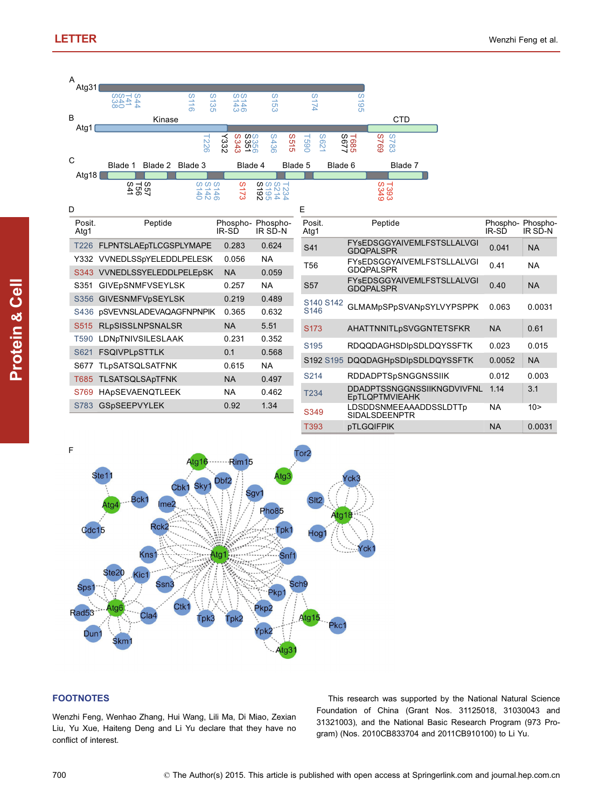Protein

& Cell





## **FOOTNOTES**

Wenzhi Feng, Wenhao Zhang, Hui Wang, Lili Ma, Di Miao, Zexian

This research was supported by the National Natural Science Foundation of China (Grant Nos. 31125018, 31030043 and 31321003), and the National Basic Research Program (973 Program) (Nos. 2010CB833704 and 2011CB910100) to Li Yu.

Liu, Yu Xue, Haiteng Deng and Li Yu declare that they have no conflict of interest.